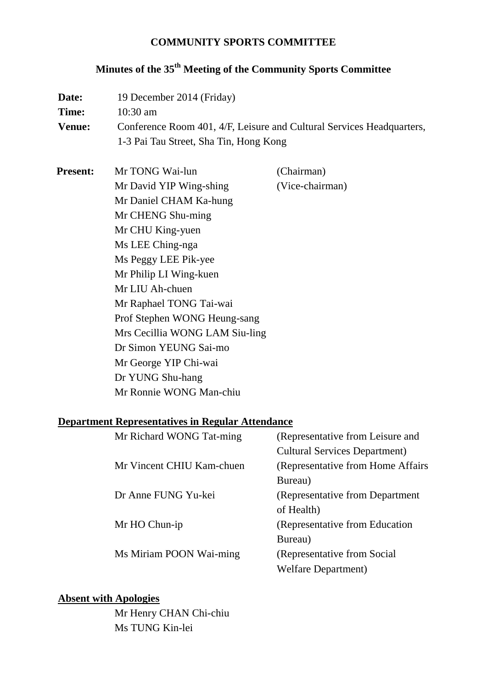## **COMMUNITY SPORTS COMMITTEE**

# **Minutes of the 35th Meeting of the Community Sports Committee**

| Mr TONG Wai-lun<br><b>Present:</b><br>Mr David YIP Wing-shing<br>Mr Daniel CHAM Ka-hung<br>Mr CHENG Shu-ming<br>Mr CHU King-yuen<br>Ms LEE Ching-nga<br>Ms Peggy LEE Pik-yee<br>Mr Philip LI Wing-kuen<br>Mr LIU Ah-chuen<br>Mr Raphael TONG Tai-wai<br>Prof Stephen WONG Heung-sang<br>Mrs Cecillia WONG LAM Siu-ling<br>Dr Simon YEUNG Sai-mo<br>Mr George YIP Chi-wai<br>Dr YUNG Shu-hang<br>Mr Ronnie WONG Man-chiu | (Chairman)<br>(Vice-chairman)    |
|-------------------------------------------------------------------------------------------------------------------------------------------------------------------------------------------------------------------------------------------------------------------------------------------------------------------------------------------------------------------------------------------------------------------------|----------------------------------|
| <b>Department Representatives in Regular Attendance</b><br>Mr Richard WONG Tat-ming                                                                                                                                                                                                                                                                                                                                     | (Representative from Leisure and |

| Mr Richard WONG Tat-ming  | (Representative from Leisure and     |
|---------------------------|--------------------------------------|
|                           | <b>Cultural Services Department)</b> |
| Mr Vincent CHIU Kam-chuen | (Representative from Home Affairs)   |
|                           | Bureau)                              |
| Dr Anne FUNG Yu-kei       | (Representative from Department)     |
|                           | of Health)                           |
| Mr HO Chun-ip             | (Representative from Education)      |
|                           | Bureau)                              |
| Ms Miriam POON Wai-ming   | (Representative from Social)         |
|                           | <b>Welfare Department</b> )          |
|                           |                                      |

## **Absent with Apologies**

Mr Henry CHAN Chi-chiu Ms TUNG Kin-lei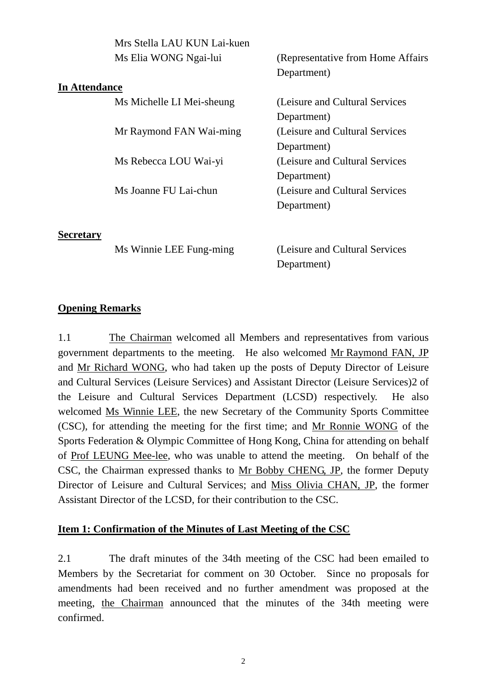|                      | Mrs Stella LAU KUN Lai-kuen |                                    |
|----------------------|-----------------------------|------------------------------------|
|                      | Ms Elia WONG Ngai-lui       | (Representative from Home Affairs) |
|                      |                             | Department)                        |
| <b>In Attendance</b> |                             |                                    |
|                      | Ms Michelle LI Mei-sheung   | (Leisure and Cultural Services     |
|                      |                             | Department)                        |
|                      | Mr Raymond FAN Wai-ming     | (Leisure and Cultural Services)    |
|                      |                             | Department)                        |
|                      | Ms Rebecca LOU Wai-yi       | (Leisure and Cultural Services)    |
|                      |                             | Department)                        |
|                      | Ms Joanne FU Lai-chun       | (Leisure and Cultural Services)    |
|                      |                             | Department)                        |
|                      |                             |                                    |

**Secretary**

Ms Winnie LEE Fung-ming (Leisure and Cultural Services Department)

#### **Opening Remarks**

1.1 The Chairman welcomed all Members and representatives from various government departments to the meeting. He also welcomed Mr Raymond FAN, JP and Mr Richard WONG, who had taken up the posts of Deputy Director of Leisure and Cultural Services (Leisure Services) and Assistant Director (Leisure Services)2 of the Leisure and Cultural Services Department (LCSD) respectively. He also welcomed Ms Winnie LEE, the new Secretary of the Community Sports Committee (CSC), for attending the meeting for the first time; and Mr Ronnie WONG of the Sports Federation & Olympic Committee of Hong Kong, China for attending on behalf of Prof LEUNG Mee-lee, who was unable to attend the meeting. On behalf of the CSC, the Chairman expressed thanks to Mr Bobby CHENG, JP, the former Deputy Director of Leisure and Cultural Services; and Miss Olivia CHAN, JP, the former Assistant Director of the LCSD, for their contribution to the CSC.

#### **Item 1: Confirmation of the Minutes of Last Meeting of the CSC**

2.1 The draft minutes of the 34th meeting of the CSC had been emailed to Members by the Secretariat for comment on 30 October. Since no proposals for amendments had been received and no further amendment was proposed at the meeting, the Chairman announced that the minutes of the 34th meeting were confirmed.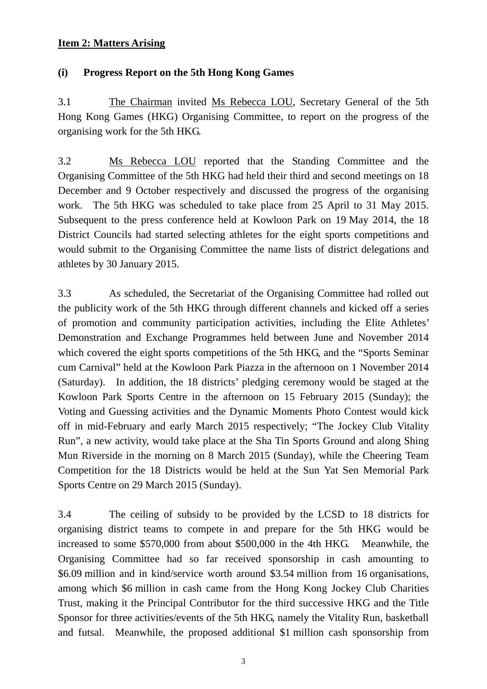#### **Item 2: Matters Arising**

### **(i) Progress Report on the 5th Hong Kong Games**

3.1 The Chairman invited Ms Rebecca LOU, Secretary General of the 5th Hong Kong Games (HKG) Organising Committee, to report on the progress of the organising work for the 5th HKG.

3.2 Ms Rebecca LOU reported that the Standing Committee and the Organising Committee of the 5th HKG had held their third and second meetings on 18 December and 9 October respectively and discussed the progress of the organising work. The 5th HKG was scheduled to take place from 25 April to 31 May 2015. Subsequent to the press conference held at Kowloon Park on 19 May 2014, the 18 District Councils had started selecting athletes for the eight sports competitions and would submit to the Organising Committee the name lists of district delegations and athletes by 30 January 2015.

3.3 As scheduled, the Secretariat of the Organising Committee had rolled out the publicity work of the 5th HKG through different channels and kicked off a series of promotion and community participation activities, including the Elite Athletes' Demonstration and Exchange Programmes held between June and November 2014 which covered the eight sports competitions of the 5th HKG, and the "Sports Seminar" cum Carnival" held at the Kowloon Park Piazza in the afternoon on 1 November 2014 (Saturday). In addition, the 18 districts' pledging ceremony would be staged at the Kowloon Park Sports Centre in the afternoon on 15 February 2015 (Sunday); the Voting and Guessing activities and the Dynamic Moments Photo Contest would kick off in mid-February and early March 2015 respectively; "The Jockey Club Vitality Run", a new activity, would take place at the Sha Tin Sports Ground and along Shing Mun Riverside in the morning on 8 March 2015 (Sunday), while the Cheering Team Competition for the 18 Districts would be held at the Sun Yat Sen Memorial Park Sports Centre on 29 March 2015 (Sunday).

3.4 The ceiling of subsidy to be provided by the LCSD to 18 districts for organising district teams to compete in and prepare for the 5th HKG would be increased to some \$570,000 from about \$500,000 in the 4th HKG. Meanwhile, the Organising Committee had so far received sponsorship in cash amounting to \$6.09 million and in kind/service worth around \$3.54 million from 16 organisations, among which \$6 million in cash came from the Hong Kong Jockey Club Charities Trust, making it the Principal Contributor for the third successive HKG and the Title Sponsor for three activities/events of the 5th HKG, namely the Vitality Run, basketball and futsal. Meanwhile, the proposed additional \$1 million cash sponsorship from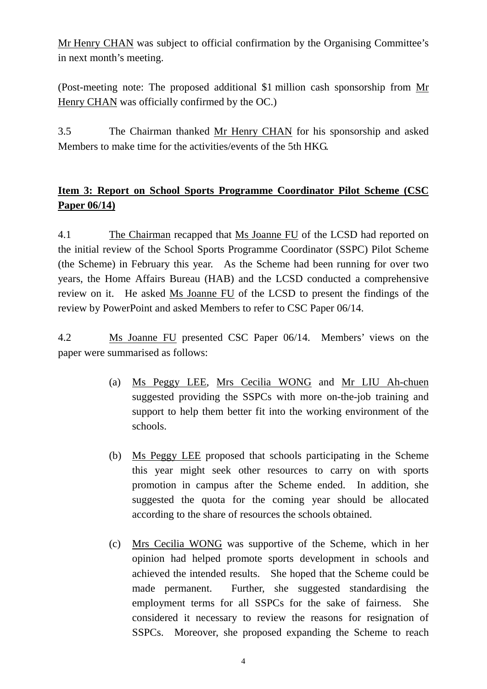Mr Henry CHAN was subject to official confirmation by the Organising Committee's in next month's meeting.

(Post-meeting note: The proposed additional \$1 million cash sponsorship from Mr Henry CHAN was officially confirmed by the OC.)

3.5 The Chairman thanked Mr Henry CHAN for his sponsorship and asked Members to make time for the activities/events of the 5th HKG.

## **Item 3: Report on School Sports Programme Coordinator Pilot Scheme (CSC Paper 06/14)**

4.1 The Chairman recapped that Ms Joanne FU of the LCSD had reported on the initial review of the School Sports Programme Coordinator (SSPC) Pilot Scheme (the Scheme) in February this year. As the Scheme had been running for over two years, the Home Affairs Bureau (HAB) and the LCSD conducted a comprehensive review on it. He asked Ms Joanne FU of the LCSD to present the findings of the review by PowerPoint and asked Members to refer to CSC Paper 06/14.

4.2 Ms Joanne FU presented CSC Paper 06/14. Members' views on the paper were summarised as follows:

- (a) Ms Peggy LEE, Mrs Cecilia WONG and Mr LIU Ah-chuen suggested providing the SSPCs with more on-the-job training and support to help them better fit into the working environment of the schools.
- (b) Ms Peggy LEE proposed that schools participating in the Scheme this year might seek other resources to carry on with sports promotion in campus after the Scheme ended. In addition, she suggested the quota for the coming year should be allocated according to the share of resources the schools obtained.
- (c) Mrs Cecilia WONG was supportive of the Scheme, which in her opinion had helped promote sports development in schools and achieved the intended results. She hoped that the Scheme could be made permanent. Further, she suggested standardising the employment terms for all SSPCs for the sake of fairness. She considered it necessary to review the reasons for resignation of SSPCs. Moreover, she proposed expanding the Scheme to reach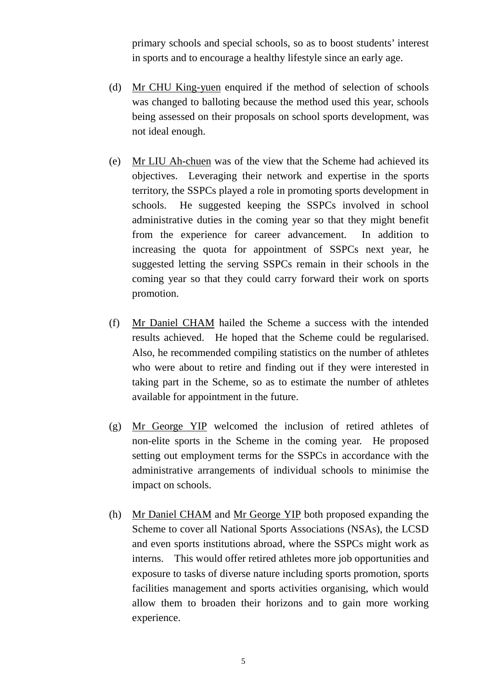primary schools and special schools, so as to boost students' interest in sports and to encourage a healthy lifestyle since an early age.

- (d) Mr CHU King-yuen enquired if the method of selection of schools was changed to balloting because the method used this year, schools being assessed on their proposals on school sports development, was not ideal enough.
- (e) Mr LIU Ah-chuen was of the view that the Scheme had achieved its objectives. Leveraging their network and expertise in the sports territory, the SSPCs played a role in promoting sports development in schools. He suggested keeping the SSPCs involved in school administrative duties in the coming year so that they might benefit from the experience for career advancement. In addition to increasing the quota for appointment of SSPCs next year, he suggested letting the serving SSPCs remain in their schools in the coming year so that they could carry forward their work on sports promotion.
- (f) Mr Daniel CHAM hailed the Scheme a success with the intended results achieved. He hoped that the Scheme could be regularised. Also, he recommended compiling statistics on the number of athletes who were about to retire and finding out if they were interested in taking part in the Scheme, so as to estimate the number of athletes available for appointment in the future.
- (g) Mr George YIP welcomed the inclusion of retired athletes of non-elite sports in the Scheme in the coming year. He proposed setting out employment terms for the SSPCs in accordance with the administrative arrangements of individual schools to minimise the impact on schools.
- (h) Mr Daniel CHAM and Mr George YIP both proposed expanding the Scheme to cover all National Sports Associations (NSAs), the LCSD and even sports institutions abroad, where the SSPCs might work as interns. This would offer retired athletes more job opportunities and exposure to tasks of diverse nature including sports promotion, sports facilities management and sports activities organising, which would allow them to broaden their horizons and to gain more working experience.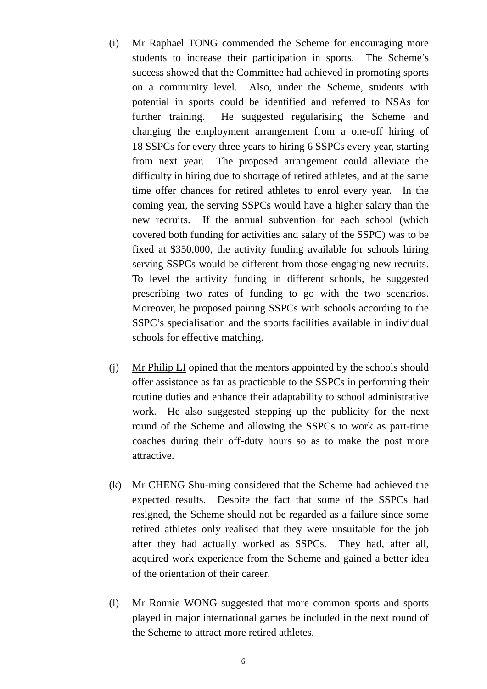- (i) Mr Raphael TONG commended the Scheme for encouraging more students to increase their participation in sports. The Scheme's success showed that the Committee had achieved in promoting sports on a community level. Also, under the Scheme, students with potential in sports could be identified and referred to NSAs for further training. He suggested regularising the Scheme and changing the employment arrangement from a one-off hiring of 18 SSPCs for every three years to hiring 6 SSPCs every year, starting from next year. The proposed arrangement could alleviate the difficulty in hiring due to shortage of retired athletes, and at the same time offer chances for retired athletes to enrol every year. In the coming year, the serving SSPCs would have a higher salary than the new recruits. If the annual subvention for each school (which covered both funding for activities and salary of the SSPC) was to be fixed at \$350,000, the activity funding available for schools hiring serving SSPCs would be different from those engaging new recruits. To level the activity funding in different schools, he suggested prescribing two rates of funding to go with the two scenarios. Moreover, he proposed pairing SSPCs with schools according to the SSPC's specialisation and the sports facilities available in individual schools for effective matching.
- (j) Mr Philip LI opined that the mentors appointed by the schools should offer assistance as far as practicable to the SSPCs in performing their routine duties and enhance their adaptability to school administrative work. He also suggested stepping up the publicity for the next round of the Scheme and allowing the SSPCs to work as part-time coaches during their off-duty hours so as to make the post more attractive.
- (k) Mr CHENG Shu-ming considered that the Scheme had achieved the expected results. Despite the fact that some of the SSPCs had resigned, the Scheme should not be regarded as a failure since some retired athletes only realised that they were unsuitable for the job after they had actually worked as SSPCs. They had, after all, acquired work experience from the Scheme and gained a better idea of the orientation of their career.
- (l) Mr Ronnie WONG suggested that more common sports and sports played in major international games be included in the next round of the Scheme to attract more retired athletes.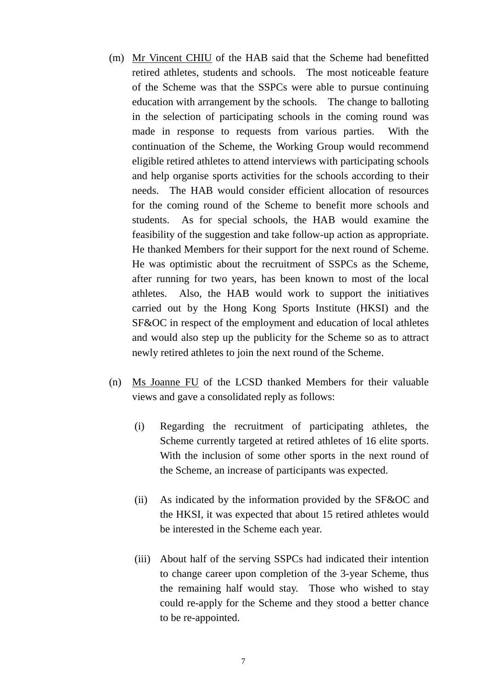- (m) Mr Vincent CHIU of the HAB said that the Scheme had benefitted retired athletes, students and schools. The most noticeable feature of the Scheme was that the SSPCs were able to pursue continuing education with arrangement by the schools. The change to balloting in the selection of participating schools in the coming round was made in response to requests from various parties. With the continuation of the Scheme, the Working Group would recommend eligible retired athletes to attend interviews with participating schools and help organise sports activities for the schools according to their needs. The HAB would consider efficient allocation of resources for the coming round of the Scheme to benefit more schools and students. As for special schools, the HAB would examine the feasibility of the suggestion and take follow-up action as appropriate. He thanked Members for their support for the next round of Scheme. He was optimistic about the recruitment of SSPCs as the Scheme, after running for two years, has been known to most of the local athletes. Also, the HAB would work to support the initiatives carried out by the Hong Kong Sports Institute (HKSI) and the SF&OC in respect of the employment and education of local athletes and would also step up the publicity for the Scheme so as to attract newly retired athletes to join the next round of the Scheme.
- (n) Ms Joanne FU of the LCSD thanked Members for their valuable views and gave a consolidated reply as follows:
	- (i) Regarding the recruitment of participating athletes, the Scheme currently targeted at retired athletes of 16 elite sports. With the inclusion of some other sports in the next round of the Scheme, an increase of participants was expected.
	- (ii) As indicated by the information provided by the SF&OC and the HKSI, it was expected that about 15 retired athletes would be interested in the Scheme each year.
	- (iii) About half of the serving SSPCs had indicated their intention to change career upon completion of the 3-year Scheme, thus the remaining half would stay. Those who wished to stay could re-apply for the Scheme and they stood a better chance to be re-appointed.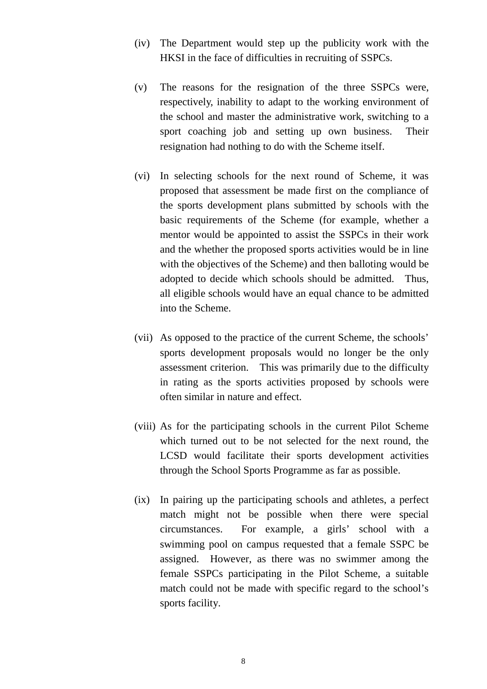- (iv) The Department would step up the publicity work with the HKSI in the face of difficulties in recruiting of SSPCs.
- (v) The reasons for the resignation of the three SSPCs were, respectively, inability to adapt to the working environment of the school and master the administrative work, switching to a sport coaching job and setting up own business. Their resignation had nothing to do with the Scheme itself.
- (vi) In selecting schools for the next round of Scheme, it was proposed that assessment be made first on the compliance of the sports development plans submitted by schools with the basic requirements of the Scheme (for example, whether a mentor would be appointed to assist the SSPCs in their work and the whether the proposed sports activities would be in line with the objectives of the Scheme) and then balloting would be adopted to decide which schools should be admitted. Thus, all eligible schools would have an equal chance to be admitted into the Scheme.
- (vii) As opposed to the practice of the current Scheme, the schools' sports development proposals would no longer be the only assessment criterion. This was primarily due to the difficulty in rating as the sports activities proposed by schools were often similar in nature and effect.
- (viii) As for the participating schools in the current Pilot Scheme which turned out to be not selected for the next round, the LCSD would facilitate their sports development activities through the School Sports Programme as far as possible.
- (ix) In pairing up the participating schools and athletes, a perfect match might not be possible when there were special circumstances. For example, a girls' school with a swimming pool on campus requested that a female SSPC be assigned. However, as there was no swimmer among the female SSPCs participating in the Pilot Scheme, a suitable match could not be made with specific regard to the school's sports facility.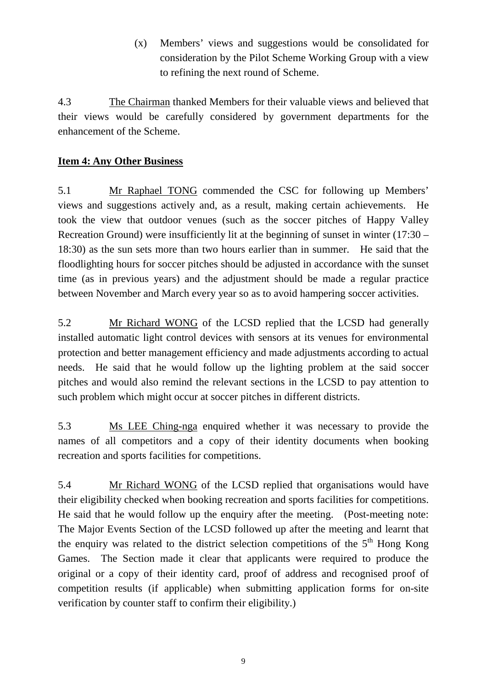(x) Members' views and suggestions would be consolidated for consideration by the Pilot Scheme Working Group with a view to refining the next round of Scheme.

4.3 The Chairman thanked Members for their valuable views and believed that their views would be carefully considered by government departments for the enhancement of the Scheme.

## **Item 4: Any Other Business**

5.1 Mr Raphael TONG commended the CSC for following up Members' views and suggestions actively and, as a result, making certain achievements. He took the view that outdoor venues (such as the soccer pitches of Happy Valley Recreation Ground) were insufficiently lit at the beginning of sunset in winter (17:30 – 18:30) as the sun sets more than two hours earlier than in summer. He said that the floodlighting hours for soccer pitches should be adjusted in accordance with the sunset time (as in previous years) and the adjustment should be made a regular practice between November and March every year so as to avoid hampering soccer activities.

5.2 Mr Richard WONG of the LCSD replied that the LCSD had generally installed automatic light control devices with sensors at its venues for environmental protection and better management efficiency and made adjustments according to actual needs. He said that he would follow up the lighting problem at the said soccer pitches and would also remind the relevant sections in the LCSD to pay attention to such problem which might occur at soccer pitches in different districts.

5.3 Ms LEE Ching-nga enquired whether it was necessary to provide the names of all competitors and a copy of their identity documents when booking recreation and sports facilities for competitions.

5.4 Mr Richard WONG of the LCSD replied that organisations would have their eligibility checked when booking recreation and sports facilities for competitions. He said that he would follow up the enquiry after the meeting. (Post-meeting note: The Major Events Section of the LCSD followed up after the meeting and learnt that the enquiry was related to the district selection competitions of the  $5<sup>th</sup>$  Hong Kong Games. The Section made it clear that applicants were required to produce the original or a copy of their identity card, proof of address and recognised proof of competition results (if applicable) when submitting application forms for on-site verification by counter staff to confirm their eligibility.)